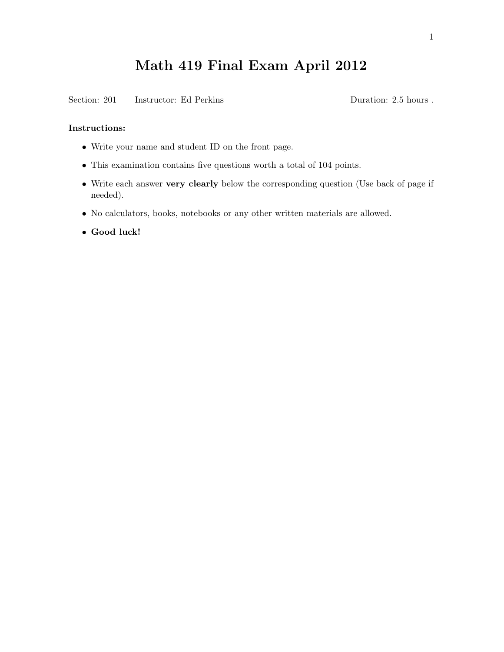## Math 419 Final Exam April 2012

Section: 201 Instructor: Ed Perkins Duration: 2.5 hours .

## Instructions:

- Write your name and student ID on the front page.
- This examination contains five questions worth a total of 104 points.
- Write each answer very clearly below the corresponding question (Use back of page if needed).
- No calculators, books, notebooks or any other written materials are allowed.
- Good luck!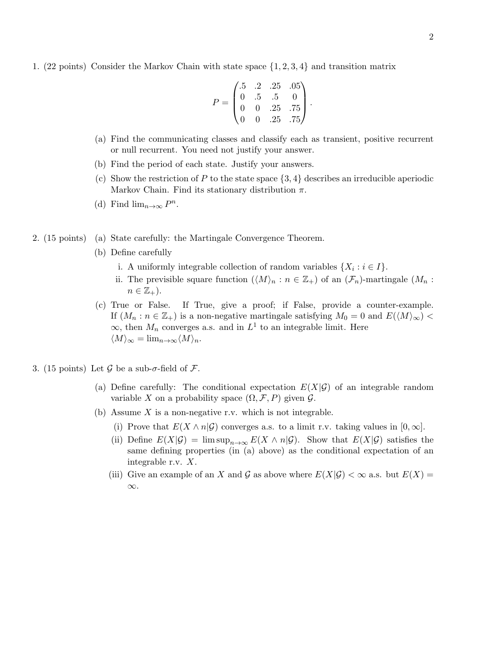1. (22 points) Consider the Markov Chain with state space {1, 2, 3, 4} and transition matrix

$$
P = \begin{pmatrix} .5 & .2 & .25 & .05 \\ 0 & .5 & .5 & 0 \\ 0 & 0 & .25 & .75 \\ 0 & 0 & .25 & .75 \end{pmatrix}.
$$

- (a) Find the communicating classes and classify each as transient, positive recurrent or null recurrent. You need not justify your answer.
- (b) Find the period of each state. Justify your answers.
- (c) Show the restriction of P to the state space  $\{3, 4\}$  describes an irreducible aperiodic Markov Chain. Find its stationary distribution  $\pi$ .
- (d) Find  $\lim_{n\to\infty} P^n$ .
- 2. (15 points) (a) State carefully: the Martingale Convergence Theorem.
	- (b) Define carefully
		- i. A uniformly integrable collection of random variables  $\{X_i : i \in I\}$ .
		- ii. The previsible square function  $(\langle M \rangle_n : n \in \mathbb{Z}_+)$  of an  $(\mathcal{F}_n)$ -martingale  $(M_n : n \in \mathbb{Z}_+)$  $n \in \mathbb{Z}_+$ ).
	- (c) True or False. If True, give a proof; if False, provide a counter-example. If  $(M_n : n \in \mathbb{Z}_+)$  is a non-negative martingale satisfying  $M_0 = 0$  and  $E(\langle M \rangle_{\infty})$  $\infty$ , then  $M_n$  converges a.s. and in  $L^1$  to an integrable limit. Here  $\langle M \rangle_{\infty} = \lim_{n \to \infty} \langle M \rangle_n.$
- 3. (15 points) Let G be a sub- $\sigma$ -field of F.
	- (a) Define carefully: The conditional expectation  $E(X|\mathcal{G})$  of an integrable random variable X on a probability space  $(\Omega, \mathcal{F}, P)$  given  $\mathcal{G}$ .
	- (b) Assume  $X$  is a non-negative r.v. which is not integrable.
		- (i) Prove that  $E(X \wedge n | \mathcal{G})$  converges a.s. to a limit r.v. taking values in  $[0, \infty]$ .
		- (ii) Define  $E(X|\mathcal{G}) = \limsup_{n\to\infty} E(X \wedge n|\mathcal{G})$ . Show that  $E(X|\mathcal{G})$  satisfies the same defining properties (in (a) above) as the conditional expectation of an integrable r.v. X.
		- (iii) Give an example of an X and G as above where  $E(X|\mathcal{G}) < \infty$  a.s. but  $E(X) =$ ∞.